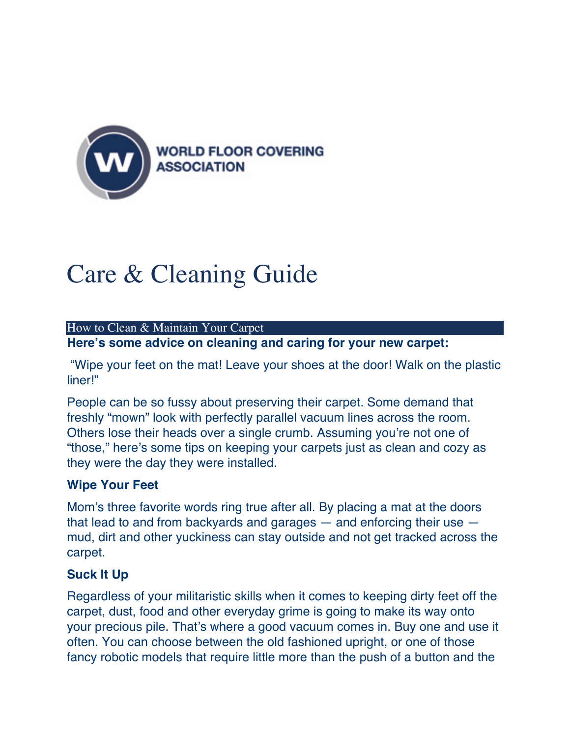

# Care & Cleaning Guide

#### How to Clean & Maintain Your Carpet

**Here's some advice on cleaning and caring for your new carpet:**

"Wipe your feet on the mat! Leave your shoes at the door! Walk on the plastic liner!"

People can be so fussy about preserving their carpet. Some demand that freshly "mown" look with perfectly parallel vacuum lines across the room. Others lose their heads over a single crumb. Assuming you're not one of "those," here's some tips on keeping your carpets just as clean and cozy as they were the day they were installed.

#### **Wipe Your Feet**

Mom's three favorite words ring true after all. By placing a mat at the doors that lead to and from backyards and garages  $-$  and enforcing their use  $$ mud, dirt and other yuckiness can stay outside and not get tracked across the carpet.

#### **Suck It Up**

Regardless of your militaristic skills when it comes to keeping dirty feet off the carpet, dust, food and other everyday grime is going to make its way onto your precious pile. That's where a good vacuum comes in. Buy one and use it often. You can choose between the old fashioned upright, or one of those fancy robotic models that require little more than the push of a button and the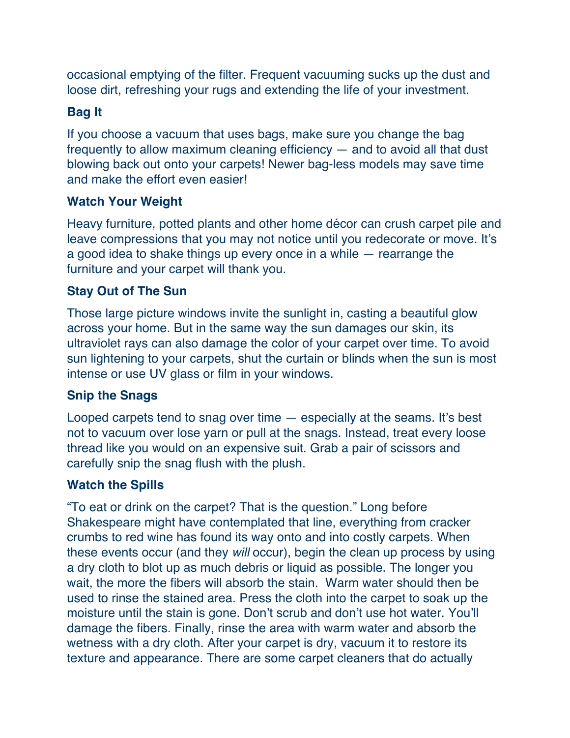occasional emptying of the filter. Frequent vacuuming sucks up the dust and loose dirt, refreshing your rugs and extending the life of your investment.

#### **Bag It**

If you choose a vacuum that uses bags, make sure you change the bag frequently to allow maximum cleaning efficiency — and to avoid all that dust blowing back out onto your carpets! Newer bag-less models may save time and make the effort even easier!

## **Watch Your Weight**

Heavy furniture, potted plants and other home décor can crush carpet pile and leave compressions that you may not notice until you redecorate or move. It's a good idea to shake things up every once in a while — rearrange the furniture and your carpet will thank you.

## **Stay Out of The Sun**

Those large picture windows invite the sunlight in, casting a beautiful glow across your home. But in the same way the sun damages our skin, its ultraviolet rays can also damage the color of your carpet over time. To avoid sun lightening to your carpets, shut the curtain or blinds when the sun is most intense or use UV glass or film in your windows.

#### **Snip the Snags**

Looped carpets tend to snag over time — especially at the seams. It's best not to vacuum over lose yarn or pull at the snags. Instead, treat every loose thread like you would on an expensive suit. Grab a pair of scissors and carefully snip the snag flush with the plush.

#### **Watch the Spills**

"To eat or drink on the carpet? That is the question." Long before Shakespeare might have contemplated that line, everything from cracker crumbs to red wine has found its way onto and into costly carpets. When these events occur (and they *will* occur), begin the clean up process by using a dry cloth to blot up as much debris or liquid as possible. The longer you wait, the more the fibers will absorb the stain. Warm water should then be used to rinse the stained area. Press the cloth into the carpet to soak up the moisture until the stain is gone. Don't scrub and don't use hot water. You'll damage the fibers. Finally, rinse the area with warm water and absorb the wetness with a dry cloth. After your carpet is dry, vacuum it to restore its texture and appearance. There are some carpet cleaners that do actually